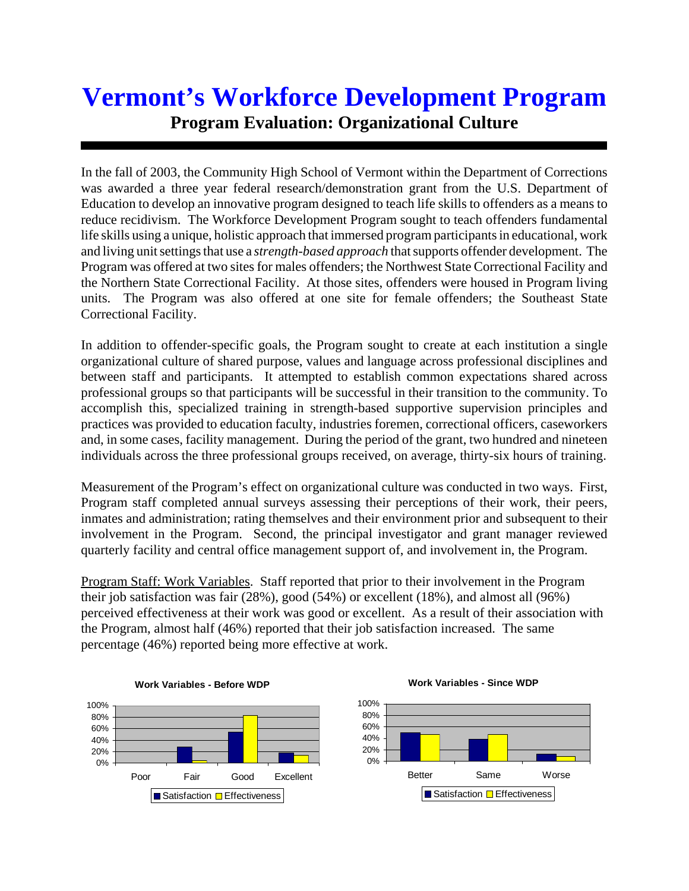## **Vermont's Workforce Development Program Program Evaluation: Organizational Culture**

In the fall of 2003, the Community High School of Vermont within the Department of Corrections was awarded a three year federal research/demonstration grant from the U.S. Department of Education to develop an innovative program designed to teach life skills to offenders as a means to reduce recidivism. The Workforce Development Program sought to teach offenders fundamental life skills using a unique, holistic approach that immersed program participants in educational, work and living unit settings that use a *strength-based approach* that supports offender development. The Program was offered at two sites for males offenders; the Northwest State Correctional Facility and the Northern State Correctional Facility. At those sites, offenders were housed in Program living units. The Program was also offered at one site for female offenders; the Southeast State Correctional Facility.

In addition to offender-specific goals, the Program sought to create at each institution a single organizational culture of shared purpose, values and language across professional disciplines and between staff and participants. It attempted to establish common expectations shared across professional groups so that participants will be successful in their transition to the community. To accomplish this, specialized training in strength-based supportive supervision principles and practices was provided to education faculty, industries foremen, correctional officers, caseworkers and, in some cases, facility management. During the period of the grant, two hundred and nineteen individuals across the three professional groups received, on average, thirty-six hours of training.

Measurement of the Program's effect on organizational culture was conducted in two ways. First, Program staff completed annual surveys assessing their perceptions of their work, their peers, inmates and administration; rating themselves and their environment prior and subsequent to their involvement in the Program. Second, the principal investigator and grant manager reviewed quarterly facility and central office management support of, and involvement in, the Program.

Program Staff: Work Variables. Staff reported that prior to their involvement in the Program their job satisfaction was fair (28%), good (54%) or excellent (18%), and almost all (96%) perceived effectiveness at their work was good or excellent. As a result of their association with the Program, almost half (46%) reported that their job satisfaction increased. The same percentage (46%) reported being more effective at work.

100%





**Work Variables - Since WDP**

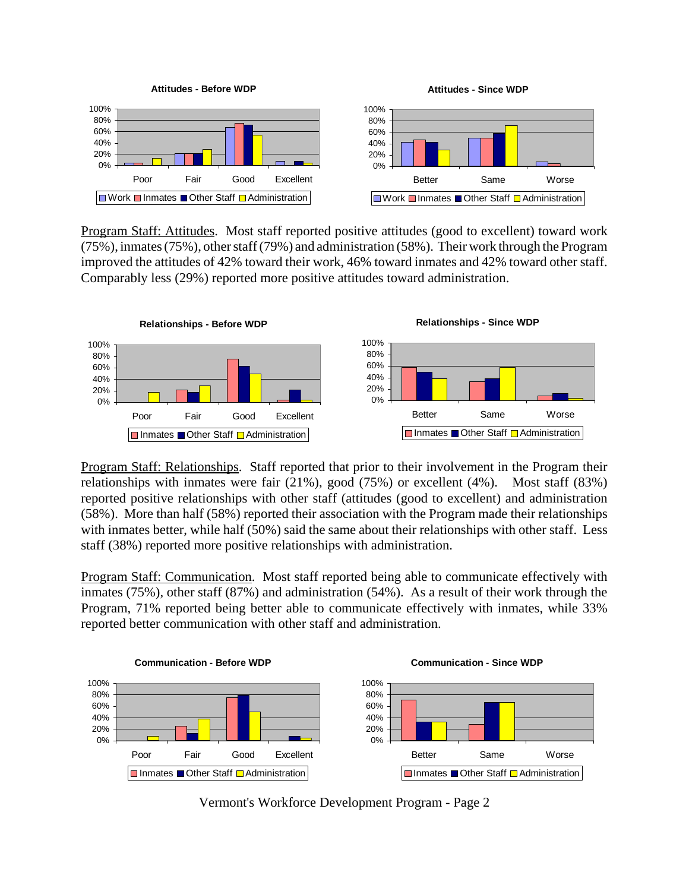

Program Staff: Attitudes. Most staff reported positive attitudes (good to excellent) toward work (75%), inmates (75%), other staff (79%) and administration (58%). Their work through the Program improved the attitudes of 42% toward their work, 46% toward inmates and 42% toward other staff. Comparably less (29%) reported more positive attitudes toward administration.



Program Staff: Relationships. Staff reported that prior to their involvement in the Program their relationships with inmates were fair (21%), good (75%) or excellent (4%). Most staff (83%) reported positive relationships with other staff (attitudes (good to excellent) and administration (58%). More than half (58%) reported their association with the Program made their relationships with inmates better, while half (50%) said the same about their relationships with other staff. Less staff (38%) reported more positive relationships with administration.

Program Staff: Communication. Most staff reported being able to communicate effectively with inmates (75%), other staff (87%) and administration (54%). As a result of their work through the Program, 71% reported being better able to communicate effectively with inmates, while 33% reported better communication with other staff and administration.



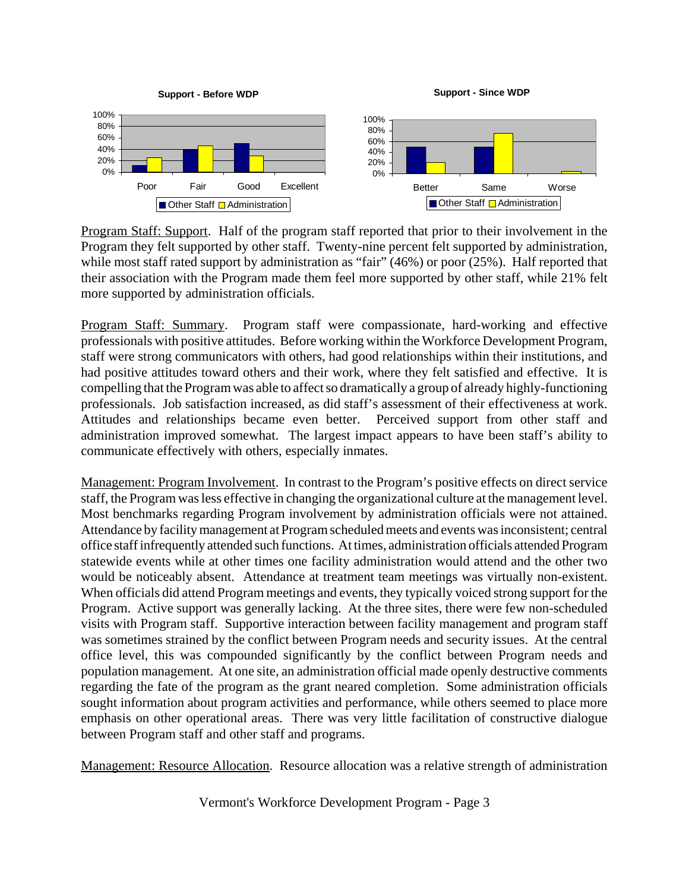

Program Staff: Support. Half of the program staff reported that prior to their involvement in the Program they felt supported by other staff. Twenty-nine percent felt supported by administration, while most staff rated support by administration as "fair" (46%) or poor (25%). Half reported that their association with the Program made them feel more supported by other staff, while 21% felt more supported by administration officials.

Program Staff: Summary. Program staff were compassionate, hard-working and effective professionals with positive attitudes. Before working within the Workforce Development Program, staff were strong communicators with others, had good relationships within their institutions, and had positive attitudes toward others and their work, where they felt satisfied and effective. It is compelling that the Program was able to affect so dramatically a group of already highly-functioning professionals. Job satisfaction increased, as did staff's assessment of their effectiveness at work. Attitudes and relationships became even better. Perceived support from other staff and administration improved somewhat. The largest impact appears to have been staff's ability to communicate effectively with others, especially inmates.

Management: Program Involvement. In contrast to the Program's positive effects on direct service staff, the Program was less effective in changing the organizational culture at the management level. Most benchmarks regarding Program involvement by administration officials were not attained. Attendance by facility management at Program scheduled meets and events was inconsistent; central office staff infrequently attended such functions. At times, administration officials attended Program statewide events while at other times one facility administration would attend and the other two would be noticeably absent. Attendance at treatment team meetings was virtually non-existent. When officials did attend Program meetings and events, they typically voiced strong support for the Program. Active support was generally lacking. At the three sites, there were few non-scheduled visits with Program staff. Supportive interaction between facility management and program staff was sometimes strained by the conflict between Program needs and security issues. At the central office level, this was compounded significantly by the conflict between Program needs and population management. At one site, an administration official made openly destructive comments regarding the fate of the program as the grant neared completion. Some administration officials sought information about program activities and performance, while others seemed to place more emphasis on other operational areas. There was very little facilitation of constructive dialogue between Program staff and other staff and programs.

Management: Resource Allocation. Resource allocation was a relative strength of administration

Vermont's Workforce Development Program - Page 3